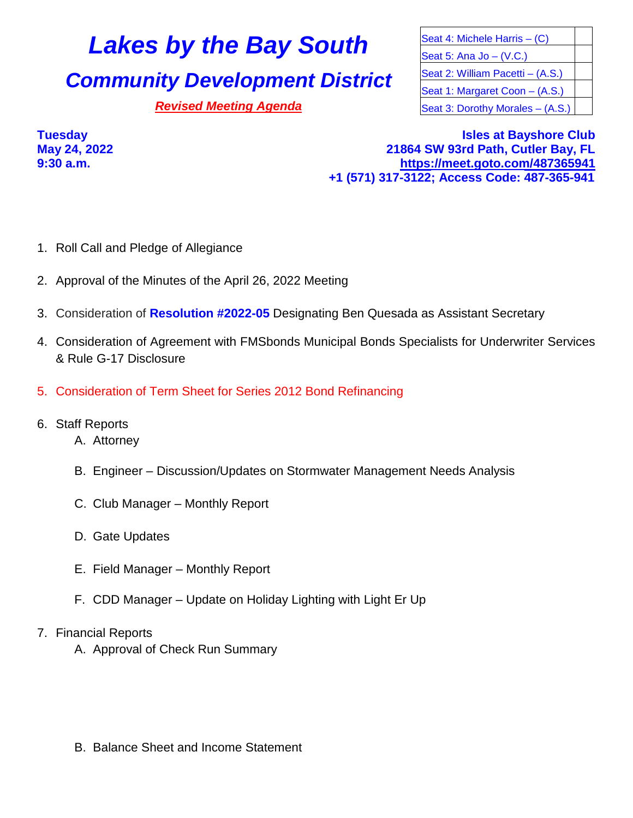## **Lakes by the Bay South Seat 4: Michele Harris – (C)**

## **Community Development District** Seat 2: William Pacetti – (A.S.)

Seat 5: Ana Jo – (V.C.) Seat 1: Margaret Coon - (A.S.) **Revised Meeting Agenda** Seat 3: Dorothy Morales – (A.S.)

**Tuesday Isles at Bayshore Club May 24, 2022 21864 SW 93rd Path, Cutler Bay, FL 9:30 a.m. <https://meet.goto.com/487365941> +1 (571) 317-3122; Access Code: 487-365-941**

- 1. Roll Call and Pledge of Allegiance
- 2. Approval of the Minutes of the April 26, 2022 Meeting
- 3. Consideration of **Resolution #2022-05** Designating Ben Quesada as Assistant Secretary
- 4. Consideration of Agreement with FMSbonds Municipal Bonds Specialists for Underwriter Services & Rule G-17 Disclosure
- 5. Consideration of Term Sheet for Series 2012 Bond Refinancing
- 6. Staff Reports
	- A. Attorney
	- B. Engineer Discussion/Updates on Stormwater Management Needs Analysis
	- C. Club Manager Monthly Report
	- D. Gate Updates
	- E. Field Manager Monthly Report
	- F. CDD Manager Update on Holiday Lighting with Light Er Up
- 7. Financial Reports
	- A. Approval of Check Run Summary

B. Balance Sheet and Income Statement